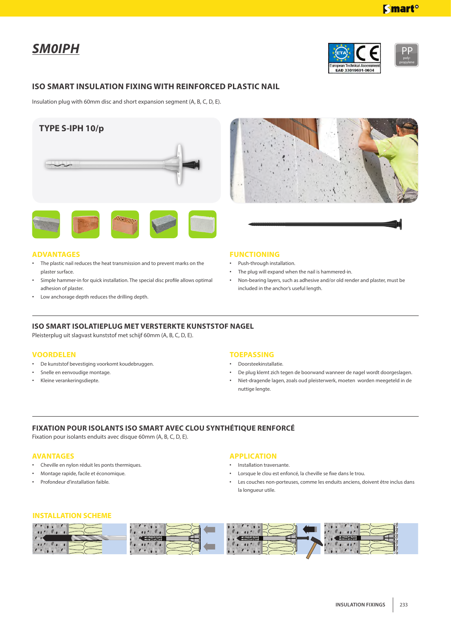*SM0IPH*



EAD 33019601-0604



**Smart**<sup>o</sup>

## **ISO SMART INSULATION FIXING WITH REINFORCED PLASTIC NAIL**

Insulation plug with 60mm disc and short expansion segment (A, B, C, D, E).





## **ADVANTAGES**

- The plastic nail reduces the heat transmission and to prevent marks on the plaster surface.
- Simple hammer-in for quick installation. The special disc profile allows optimal adhesion of plaster.
- Low anchorage depth reduces the drilling depth.



- Push-through installation.
- The plug will expand when the nail is hammered-in.
- Non-bearing layers, such as adhesive and/or old render and plaster, must be included in the anchor's useful length.

## **ISO SMART ISOLATIEPLUG MET VERSTERKTE KUNSTSTOF NAGEL**

Pleisterplug uit slagvast kunststof met schijf 60mm (A, B, C, D, E).

#### **VOORDELEN**

- • De kunststof bevestiging voorkomt koudebruggen.
- Snelle en eenvoudige montage.
- Kleine verankeringsdiepte.

## **TOEPASSING**

- • Doorsteekinstallatie.
- De plug klemt zich tegen de boorwand wanneer de nagel wordt doorgeslagen.
- Niet-dragende lagen, zoals oud pleisterwerk, moeten worden meegeteld in de nuttige lengte.

# **FIXATION POUR ISOLANTS ISO SMART AVEC CLOU SYNTHÉTIQUE RENFORCÉ**

Fixation pour isolants enduits avec disque 60mm (A, B, C, D, E).

#### **AVANTAGES**

- • Cheville en nylon réduit les ponts thermiques.
- • Montage rapide, facile et économique.
- Profondeur d'installation faible.

#### **APPLICATION**

- • Installation traversante.
- Lorsque le clou est enfoncé, la cheville se fixe dans le trou.
- Les couches non-porteuses, comme les enduits anciens, doivent être inclus dans la longueur utile.

#### **INSTALLATION SCHEME**

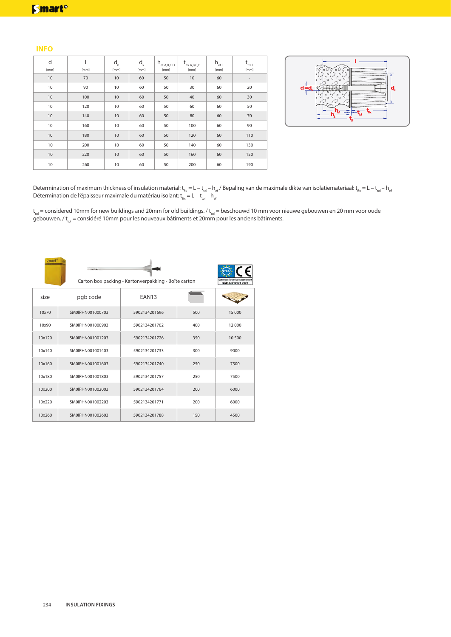## **INFO**

| d<br>[mm]       | [mm] | $\mathsf{d}_{\scriptscriptstyle{0}}$<br>[mm] | $\mathsf{d}_{\mathsf{k}}$<br>[mm] | $h_{\text{ef A,B,C,D}}$<br>[mm] | $t_{fix A,B,C,D}$<br>[mm] | $h_{\text{eff}}$<br>[mm] | $t_{\text{fix E}}$<br>[mm] |
|-----------------|------|----------------------------------------------|-----------------------------------|---------------------------------|---------------------------|--------------------------|----------------------------|
| 10              | 70   | 10                                           | 60                                | 50                              | 10                        | 60                       | $\overline{\phantom{0}}$   |
| 10              | 90   | 10                                           | 60                                | 50                              | 30                        | 60                       | 20                         |
| $10\,$          | 100  | $10$                                         | 60                                | 50                              | 40                        | 60                       | 30                         |
| 10              | 120  | 10                                           | 60                                | 50                              | 60                        | 60                       | 50                         |
| 10              | 140  | 10                                           | 60                                | 50                              | 80                        | 60                       | 70                         |
| 10 <sup>°</sup> | 160  | 10                                           | 60                                | 50                              | 100                       | 60                       | 90                         |
| 10              | 180  | 10                                           | 60                                | 50                              | 120                       | 60                       | 110                        |
| 10              | 200  | 10                                           | 60                                | 50                              | 140                       | 60                       | 130                        |
| 10              | 220  | 10                                           | 60                                | 50                              | 160                       | 60                       | 150                        |
| 10              | 260  | 10                                           | 60                                | 50                              | 200                       | 60                       | 190                        |



Determination of maximum thickness of insulation material:  $\sf{t_{fx}}=$  L –  $\sf{t_{tol}} \sf{h_{ef}}/$  Bepaling van de maximale dikte van isolatiemateriaal:  $\sf{t_{fx}}=$  L –  $\sf{t_{tol}} \sf{h_{el}}$ Détermination de l'épaisseur maximale du matériau isolant:  $\rm{t_{fix}}$  = L –  $\rm{t_{tol}}$  –  $\rm{h_{el}}$ 

t<sub>tol</sub> = considered 10mm for new buildings and 20mm for old buildings. / t<sub>tol</sub> = beschouwd 10 mm voor nieuwe gebouwen en 20 mm voor oude gebouwen. / t<sub>tol</sub> = considéré 10mm pour les nouveaux bâtiments et 20mm pour les anciens bâtiments.

| <u>s mart</u> | <b>Service</b>   | Carton box packing - Kartonverpakking - Boîte carton |     | European Technical Assessmen<br>EAD 33019601-0604 |
|---------------|------------------|------------------------------------------------------|-----|---------------------------------------------------|
| size          | pgb code         | EAN13                                                |     |                                                   |
| 10×70         | SM0IPHN001000703 | 5902134201696                                        | 500 | 15 000                                            |
| 10x90         | SM0IPHN001000903 | 5902134201702                                        | 400 | 12 000                                            |
| 10x120        | SM0IPHN001001203 | 5902134201726                                        | 350 | 10 500                                            |
| 10x140        | SM0IPHN001001403 | 5902134201733                                        | 300 | 9000                                              |
| 10x160        | SM0IPHN001001603 | 5902134201740                                        | 250 | 7500                                              |
| 10x180        | SM0IPHN001001803 | 5902134201757                                        | 250 | 7500                                              |
| 10x200        | SM0IPHN001002003 | 5902134201764                                        | 200 | 6000                                              |
| 10x220        | SM0IPHN001002203 | 5902134201771                                        | 200 | 6000                                              |
| 10x260        | SM0IPHN001002603 | 5902134201788                                        | 150 | 4500                                              |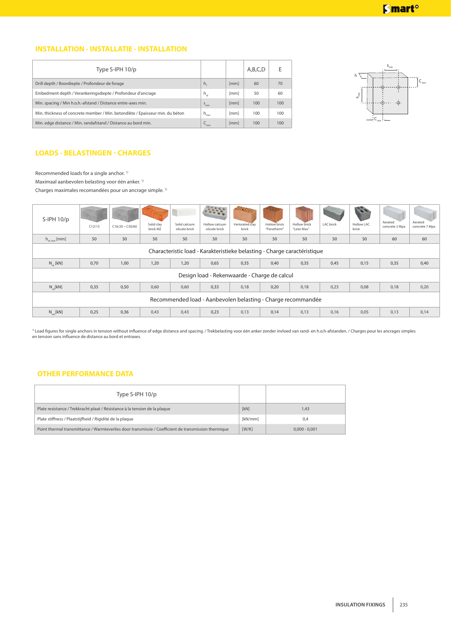# **INSTALLATION - INSTALLATIE - INSTALLATION**

| Type S-IPH 10/p                                                               |                  |      | A,B,C,D | F   |
|-------------------------------------------------------------------------------|------------------|------|---------|-----|
| Drill depth / Boordiepte / Profondeur de forage                               | h,               | [mm] | 60      | 70  |
| Embedment depth / Verankeringsdiepte / Profondeur d'ancrage                   | $h_{\rm af}$     | [mm] | 50      | 60  |
| Min. spacing / Min h.o.h.-afstand / Distance entre-axes min.                  | $S_{\text{min}}$ | [mm] | 100     | 100 |
| Min. thickness of concrete member / Min. betondikte / Epaisseur min. du béton | $h_{\min}$       | [mm] | 100     | 100 |
| Min. edge distance / Min. randafstand / Distance au bord min.                 | $C_{min}$        | [mm] | 100     | 100 |



# **LOADS - BELASTINGEN - CHARGES**

Recommended loads for a single anchor.<sup>1)</sup>

Maximaal aanbevolen belasting voor één anker.  $1$ 

Charges maximales recomandées pour un ancrage simple.<sup>1)</sup>

| $S$ -IPH $10/p$                                              | C12/15                                                                   | $C16/20 \div C50/60$ | Solid clay<br>brick MZ | Solid calcium<br>silicate brick | Hollow calcium<br>silicate brick | <b>RANGER</b><br>Perforated clay<br>brick | <b>Hollow brick</b><br>"Porotherm" | <b>Hollow brick</b><br>"Leier Max" | <b>LAC</b> brick | <b>Hollow LAC</b><br>brick | Aerated<br>concrete 2 Mpa | Aerated<br>concrete 7 Mpa |
|--------------------------------------------------------------|--------------------------------------------------------------------------|----------------------|------------------------|---------------------------------|----------------------------------|-------------------------------------------|------------------------------------|------------------------------------|------------------|----------------------------|---------------------------|---------------------------|
| $h_{\text{af,min}}$ [mm]                                     | 50                                                                       | 50                   | 50                     | 50                              | 50                               | 50                                        | 50                                 | 50                                 | 50               | 50                         | 60                        | 60                        |
|                                                              | Characteristic load - Karakteristieke belasting - Charge caractéristique |                      |                        |                                 |                                  |                                           |                                    |                                    |                  |                            |                           |                           |
| $N_{\text{L}}$ [kN]                                          | 0,70                                                                     | 1,00                 | 1,20                   | 1,20                            | 0,65                             | 0,35                                      | 0,40                               | 0,35                               | 0,45             | 0,15                       | 0,35                      | 0,40                      |
| Design load - Rekenwaarde - Charge de calcul                 |                                                                          |                      |                        |                                 |                                  |                                           |                                    |                                    |                  |                            |                           |                           |
| $N_{rel}[kN]$                                                | 0,35                                                                     | 0,50                 | 0,60                   | 0,60                            | 0,33                             | 0,18                                      | 0,20                               | 0,18                               | 0,23             | 0,08                       | 0,18                      | 0,20                      |
| Recommended load - Aanbevolen belasting - Charge recommandée |                                                                          |                      |                        |                                 |                                  |                                           |                                    |                                    |                  |                            |                           |                           |
| $N_{ref}[kN]$                                                | 0,25                                                                     | 0,36                 | 0,43                   | 0,43                            | 0,23                             | 0,13                                      | 0,14                               | 0,13                               | 0,16             | 0,05                       | 0,13                      | 0,14                      |

<sup>1)</sup> Load figures for single anchors in tension without influence of edge distance and spacing. / Trekbelasting voor één anker zonder invloed van rand- en h.o.h-afstanden. / Charges pour les ancrages simples en tension sans influence de distance au bord et entraxes.

# **OTHER PERFORMANCE DATA**

| Type S-IPH $10/p$                                                                                    |         |                 |
|------------------------------------------------------------------------------------------------------|---------|-----------------|
| Plate resistance / Trekkracht plaat / Résistance à la tension de la plaque                           | [kN]    | 1.43            |
| Plate stiffness / Plaatstijfheid / Rigidité de la plaque                                             | [kN/mm] | 0.4             |
| Point thermal transmittance / Warmteverlies door transmissie / Coefficient de transmission thermique | [W/K]   | $0.000 - 0.001$ |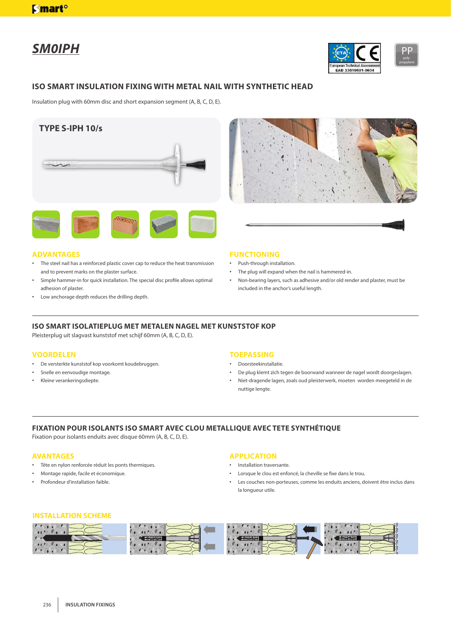# *SM0IPH*



poly-



Insulation plug with 60mm disc and short expansion segment (A, B, C, D, E).





## **ADVANTAGES**

- The steel nail has a reinforced plastic cover cap to reduce the heat transmission and to prevent marks on the plaster surface.
- Simple hammer-in for quick installation. The special disc profile allows optimal adhesion of plaster.
- • Low anchorage depth reduces the drilling depth.

#### **FUNCTIONING**

- Push-through installation.
- • The plug will expand when the nail is hammered-in.
- Non-bearing layers, such as adhesive and/or old render and plaster, must be included in the anchor's useful length.

## **ISO SMART ISOLATIEPLUG MET METALEN NAGEL MET KUNSTSTOF KOP**

Pleisterplug uit slagvast kunststof met schijf 60mm (A, B, C, D, E).

## **VOORDELEN**

- • De versterkte kunststof kop voorkomt koudebruggen.
- Snelle en eenvoudige montage.
- Kleine verankeringsdiepte.

## **TOEPASSING**

- • Doorsteekinstallatie.
- • De plug klemt zich tegen de boorwand wanneer de nagel wordt doorgeslagen.
- Niet-dragende lagen, zoals oud pleisterwerk, moeten worden meegeteld in de nuttige lengte.

# **FIXATION POUR ISOLANTS ISO SMART AVEC CLOU METALLIQUE AVEC TETE SYNTHÉTIQUE**

Fixation pour isolants enduits avec disque 60mm (A, B, C, D, E).

#### **AVANTAGES**

- • Tête en nylon renforcée réduit les ponts thermiques.
- • Montage rapide, facile et économique.
- Profondeur d'installation faible.

#### **APPLICATION**

- • Installation traversante.
- Lorsque le clou est enfoncé, la cheville se fixe dans le trou.
- Les couches non-porteuses, comme les enduits anciens, doivent être inclus dans la longueur utile.

#### **INSTALLATION SCHEME**

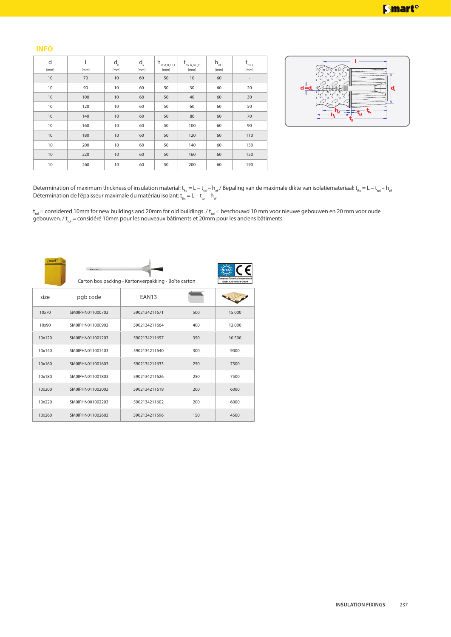## **INFO**

| d<br>[mm]       | [mm] | $d_{0}$<br>[mm] | $d_{k}$<br>[mm] | $h_{\text{ef A,B,C,D}}$<br>[mm] | $t_{fix A,B,C,D}$<br>[mm] | $h_{\text{eff}}$<br>[mm] | $t_{\text{fix E}}$<br>[mm] |
|-----------------|------|-----------------|-----------------|---------------------------------|---------------------------|--------------------------|----------------------------|
| $10$            | 70   | 10              | 60              | 50                              | 10                        | 60                       |                            |
| 10              | 90   | 10              | 60              | 50                              | 30                        | 60                       | 20                         |
| $10$            | 100  | 10              | 60              | 50                              | 40                        | 60                       | 30                         |
| 10              | 120  | 10              | 60              | 50                              | 60                        | 60                       | 50                         |
| 10              | 140  | 10              | 60              | 50                              | 80                        | 60                       | 70                         |
| 10              | 160  | 10              | 60              | 50                              | 100                       | 60                       | 90                         |
| 10              | 180  | 10              | 60              | 50                              | 120                       | 60                       | 110                        |
| 10              | 200  | 10              | 60              | 50                              | 140                       | 60                       | 130                        |
| 10              | 220  | 10              | 60              | 50                              | 160                       | 60                       | 150                        |
| 10 <sup>°</sup> | 260  | 10              | 60              | 50                              | 200                       | 60                       | 190                        |



Determination of maximum thickness of insulation material:  $\rm t_{fx}$  = L –  $\rm t_{tol}$  –  $\rm h_{ef}$  / Bepaling van de maximale dikte van isolatiemateriaal:  $\rm t_{fx}$  = L –  $\rm t_{tol}$  –  $\rm h_{el}$ Détermination de l'épaisseur maximale du matériau isolant:  $\rm{t_{fix}}$  = L –  $\rm{t_{tol}}$  –  $\rm{h_{el}}$ 

t<sub>tol</sub> = considered 10mm for new buildings and 20mm for old buildings. / t<sub>tol</sub> = beschouwd 10 mm voor nieuwe gebouwen en 20 mm voor oude gebouwen. / t<sub>tol</sub> = considéré 10mm pour les nouveaux bâtiments et 20mm pour les anciens bâtiments.

| mart   | <b>STATISTICS</b> | Carton box packing - Kartonverpakking - Boîte carton |     | European Technical Assessment<br>EAD 33019601-0604 |
|--------|-------------------|------------------------------------------------------|-----|----------------------------------------------------|
| size   | pgb code          | EAN13                                                |     |                                                    |
| 10×70  | SM0IPHN011000703  | 5902134211671                                        | 500 | 15 000                                             |
| 10x90  | SM0IPHN011000903  | 5902134211664                                        | 400 | 12 000                                             |
| 10x120 | SM0IPHN011001203  | 5902134211657                                        | 350 | 10 500                                             |
| 10x140 | SM0IPHN011001403  | 5902134211640                                        | 300 | 9000                                               |
| 10x160 | SM0IPHN011001603  | 5902134211633                                        | 250 | 7500                                               |
| 10x180 | SM0IPHN011001803  | 5902134211626                                        | 250 | 7500                                               |
| 10x200 | SM0IPHN011002003  | 5902134211619                                        | 200 | 6000                                               |
| 10x220 | SM0IPHN001002203  | 5902134211602                                        | 200 | 6000                                               |
| 10x260 | SM0IPHN011002603  | 5902134211596                                        | 150 | 4500                                               |